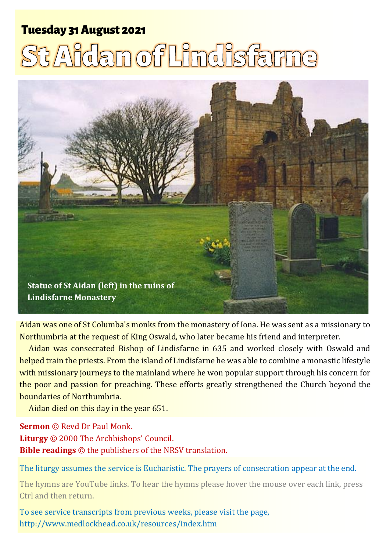# **Tuesday 31 August 2021**

# St Aidan of Lindisfarne



Aidan was one of St Columba's monks from the monastery of Iona. He was sent as a missionary to Northumbria at the request of King Oswald, who later became his friend and interpreter.

Aidan was consecrated Bishop of Lindisfarne in 635 and worked closely with Oswald and helped train the priests. From the island of Lindisfarne he was able to combine a monastic lifestyle with missionary journeys to the mainland where he won popular support through his concern for the poor and passion for preaching. These efforts greatly strengthened the Church beyond the boundaries of Northumbria.

Aidan died on this day in the year 651.

**Sermon** © Revd Dr Paul Monk. **Liturgy** © 2000 The Archbishops' Council. **Bible readings** © the publishers of the NRSV translation.

The liturgy assumes the service is Eucharistic. The prayers of consecration appear at the end.

The hymns are YouTube links. To hear the hymns please hover the mouse over each link, press Ctrl and then return.

To see service transcripts from previous weeks, please visit the page, <http://www.medlockhead.co.uk/resources/index.htm>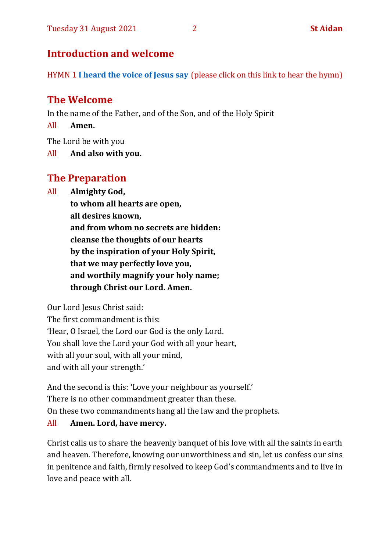# **Introduction and welcome**

HYMN 1 **[I heard the voice of Jesus say](https://www.youtube.com/watch?v=XUVCpF8-VuE)** (please click on this link to hear the hymn)

# **The Welcome**

In the name of the Father, and of the Son, and of the Holy Spirit

All **Amen.**

The Lord be with you

All **And also with you.**

# **The Preparation**

All **Almighty God,**

**to whom all hearts are open, all desires known, and from whom no secrets are hidden: cleanse the thoughts of our hearts by the inspiration of your Holy Spirit, that we may perfectly love you, and worthily magnify your holy name; through Christ our Lord. Amen.**

Our Lord Jesus Christ said:

The first commandment is this: 'Hear, O Israel, the Lord our God is the only Lord. You shall love the Lord your God with all your heart, with all your soul, with all your mind, and with all your strength.'

And the second is this: 'Love your neighbour as yourself.' There is no other commandment greater than these. On these two commandments hang all the law and the prophets.

# All **Amen. Lord, have mercy.**

Christ calls us to share the heavenly banquet of his love with all the saints in earth and heaven. Therefore, knowing our unworthiness and sin, let us confess our sins in penitence and faith, firmly resolved to keep God's commandments and to live in love and peace with all.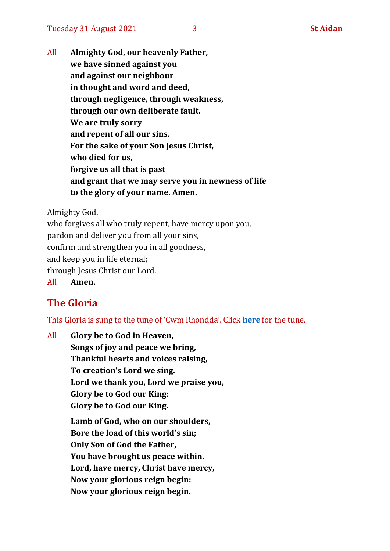All **Almighty God, our heavenly Father, we have sinned against you and against our neighbour in thought and word and deed, through negligence, through weakness, through our own deliberate fault. We are truly sorry and repent of all our sins. For the sake of your Son Jesus Christ, who died for us, forgive us all that is past and grant that we may serve you in newness of life to the glory of your name. Amen.**

Almighty God,

who forgives all who truly repent, have mercy upon you, pardon and deliver you from all your sins, confirm and strengthen you in all goodness, and keep you in life eternal; through Jesus Christ our Lord. All **Amen.**

# **The Gloria**

This Gloria is sung to the tune of 'Cwm Rhondda'. Click **[here](https://www.youtube.com/watch?v=l71MLQ22dIk)** for the tune.

All **Glory be to God in Heaven, Songs of joy and peace we bring, Thankful hearts and voices raising, To creation's Lord we sing. Lord we thank you, Lord we praise you, Glory be to God our King: Glory be to God our King. Lamb of God, who on our shoulders, Bore the load of this world's sin; Only Son of God the Father, You have brought us peace within. Lord, have mercy, Christ have mercy, Now your glorious reign begin: Now your glorious reign begin.**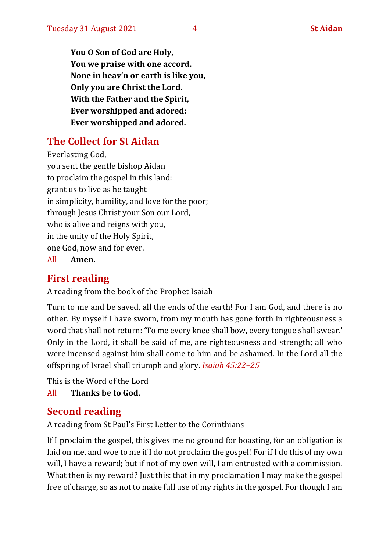**You O Son of God are Holy, You we praise with one accord. None in heav'n or earth is like you, Only you are Christ the Lord. With the Father and the Spirit, Ever worshipped and adored: Ever worshipped and adored.**

# **The Collect for St Aidan**

Everlasting God, you sent the gentle bishop Aidan to proclaim the gospel in this land: grant us to live as he taught in simplicity, humility, and love for the poor; through Jesus Christ your Son our Lord, who is alive and reigns with you, in the unity of the Holy Spirit, one God, now and for ever.

All **Amen.**

# **First reading**

A reading from the book of the Prophet Isaiah

Turn to me and be saved, all the ends of the earth! For I am God, and there is no other. By myself I have sworn, from my mouth has gone forth in righteousness a word that shall not return: 'To me every knee shall bow, every tongue shall swear.' Only in the Lord, it shall be said of me, are righteousness and strength; all who were incensed against him shall come to him and be ashamed. In the Lord all the offspring of Israel shall triumph and glory. *Isaiah 45:22–25*

This is the Word of the Lord All **Thanks be to God.**

# **Second reading**

A reading from St Paul's First Letter to the Corinthians

If I proclaim the gospel, this gives me no ground for boasting, for an obligation is laid on me, and woe to me if I do not proclaim the gospel! For if I do this of my own will, I have a reward; but if not of my own will, I am entrusted with a commission. What then is my reward? Just this: that in my proclamation I may make the gospel free of charge, so as not to make full use of my rights in the gospel. For though I am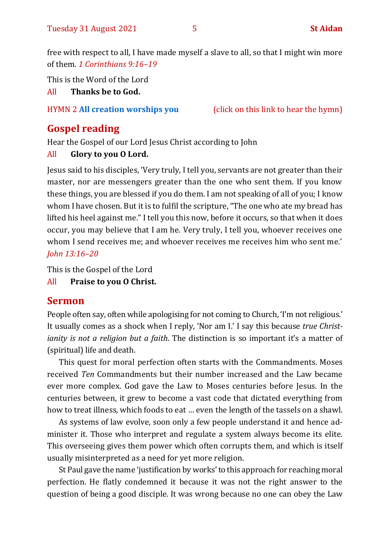free with respect to all, I have made myself a slave to all, so that I might win more of them. *1 Corinthians 9:16–19*

This is the Word of the Lord

All **Thanks be to God.**

# HYMN 2 **[All creation worships you](https://www.youtube.com/watch?v=jE6GNhjS34A)** (click on this link to hear the hymn)

# **Gospel reading**

Hear the Gospel of our Lord Jesus Christ according to John

# All **Glory to you O Lord.**

Jesus said to his disciples, 'Very truly, I tell you, servants are not greater than their master, nor are messengers greater than the one who sent them. If you know these things, you are blessed if you do them. I am not speaking of all of you; I know whom I have chosen. But it is to fulfil the scripture, "The one who ate my bread has lifted his heel against me." I tell you this now, before it occurs, so that when it does occur, you may believe that I am he. Very truly, I tell you, whoever receives one whom I send receives me; and whoever receives me receives him who sent me.' *John 13:16–20*

This is the Gospel of the Lord

All **Praise to you O Christ.** 

# **Sermon**

People often say, often while apologising for not coming to Church, 'I'm not religious.' It usually comes as a shock when I reply, 'Nor am I.' I say this because *true Christianity is not a religion but a faith*. The distinction is so important it's a matter of (spiritual) life and death.

This quest for moral perfection often starts with the Commandments. Moses received *Ten* Commandments but their number increased and the Law became ever more complex. God gave the Law to Moses centuries before Jesus. In the centuries between, it grew to become a vast code that dictated everything from how to treat illness, which foods to eat … even the length of the tassels on a shawl.

As systems of law evolve, soon only a few people understand it and hence administer it. Those who interpret and regulate a system always become its elite. This overseeing gives them power which often corrupts them, and which is itself usually misinterpreted as a need for yet more religion.

St Paul gave the name 'justification by works' to this approach for reaching moral perfection. He flatly condemned it because it was not the right answer to the question of being a good disciple. It was wrong because no one can obey the Law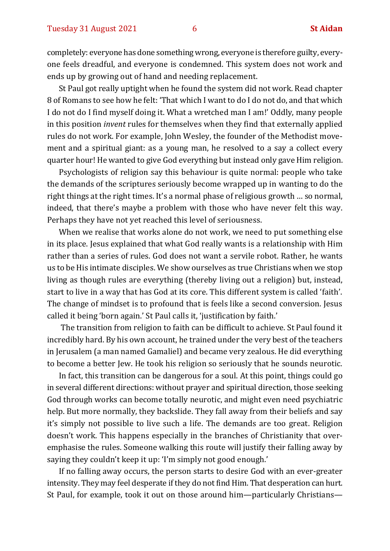completely: everyone has done something wrong, everyone is therefore guilty, everyone feels dreadful, and everyone is condemned. This system does not work and ends up by growing out of hand and needing replacement.

St Paul got really uptight when he found the system did not work. Read chapter 8 of Romans to see how he felt: 'That which I want to do I do not do, and that which I do not do I find myself doing it. What a wretched man I am!' Oddly, many people in this position *invent* rules for themselves when they find that externally applied rules do not work. For example, John Wesley, the founder of the Methodist movement and a spiritual giant: as a young man, he resolved to a say a collect every quarter hour! He wanted to give God everything but instead only gave Him religion.

Psychologists of religion say this behaviour is quite normal: people who take the demands of the scriptures seriously become wrapped up in wanting to do the right things at the right times. It's a normal phase of religious growth … so normal, indeed, that there's maybe a problem with those who have never felt this way. Perhaps they have not yet reached this level of seriousness.

When we realise that works alone do not work, we need to put something else in its place. Jesus explained that what God really wants is a relationship with Him rather than a series of rules. God does not want a servile robot. Rather, he wants us to be His intimate disciples. We show ourselves as true Christians when we stop living as though rules are everything (thereby living out a religion) but, instead, start to live in a way that has God at its core. This different system is called 'faith'. The change of mindset is to profound that is feels like a second conversion. Jesus called it being 'born again.' St Paul calls it, 'justification by faith.'

The transition from religion to faith can be difficult to achieve. St Paul found it incredibly hard. By his own account, he trained under the very best of the teachers in Jerusalem (a man named Gamaliel) and became very zealous. He did everything to become a better Jew. He took his religion so seriously that he sounds neurotic.

In fact, this transition can be dangerous for a soul. At this point, things could go in several different directions: without prayer and spiritual direction, those seeking God through works can become totally neurotic, and might even need psychiatric help. But more normally, they backslide. They fall away from their beliefs and say it's simply not possible to live such a life. The demands are too great. Religion doesn't work. This happens especially in the branches of Christianity that overemphasise the rules. Someone walking this route will justify their falling away by saying they couldn't keep it up: 'I'm simply not good enough.'

If no falling away occurs, the person starts to desire God with an ever-greater intensity. They may feel desperate if they do not find Him. That desperation can hurt. St Paul, for example, took it out on those around him—particularly Christians—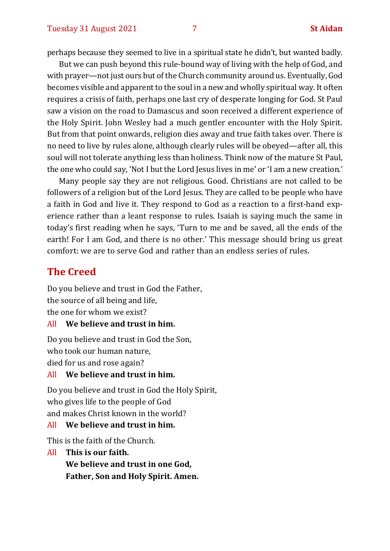perhaps because they seemed to live in a spiritual state he didn't, but wanted badly.

But we can push beyond this rule-bound way of living with the help of God, and with prayer—not just ours but of the Church community around us. Eventually, God becomes visible and apparent to the soul in a new and wholly spiritual way. It often requires a crisis of faith, perhaps one last cry of desperate longing for God. St Paul saw a vision on the road to Damascus and soon received a different experience of the Holy Spirit. John Wesley had a much gentler encounter with the Holy Spirit. But from that point onwards, religion dies away and true faith takes over. There is no need to live by rules alone, although clearly rules will be obeyed—after all, this soul will not tolerate anything less than holiness. Think now of the mature St Paul, the one who could say, 'Not I but the Lord Jesus lives in me' or 'I am a new creation.'

Many people say they are not religious. Good. Christians are not called to be followers of a religion but of the Lord Jesus. They are called to be people who have a faith in God and live it. They respond to God as a reaction to a first-hand experience rather than a leant response to rules. Isaiah is saying much the same in today's first reading when he says, 'Turn to me and be saved, all the ends of the earth! For I am God, and there is no other.' This message should bring us great comfort: we are to serve God and rather than an endless series of rules.

# **The Creed**

Do you believe and trust in God the Father, the source of all being and life, the one for whom we exist?

All **We believe and trust in him.**

Do you believe and trust in God the Son, who took our human nature, died for us and rose again?

## All **We believe and trust in him.**

Do you believe and trust in God the Holy Spirit, who gives life to the people of God and makes Christ known in the world?

## All **We believe and trust in him.**

This is the faith of the Church.

All **This is our faith. We believe and trust in one God, Father, Son and Holy Spirit. Amen.**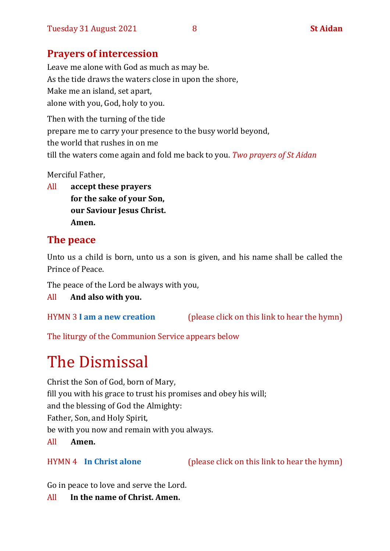# **Prayers of intercession**

Leave me alone with God as much as may be. As the tide draws the waters close in upon the shore, Make me an island, set apart, alone with you, God, holy to you.

Then with the turning of the tide prepare me to carry your presence to the busy world beyond, the world that rushes in on me till the waters come again and fold me back to you. *Two prayers of St Aidan*

Merciful Father,

All **accept these prayers for the sake of your Son, our Saviour Jesus Christ. Amen.**

# **The peace**

Unto us a child is born, unto us a son is given, and his name shall be called the Prince of Peace.

The peace of the Lord be always with you,

All **And also with you.**

HYMN 3 **[I am a new creation](https://www.youtube.com/watch?v=Kt0u2iwmuEA)** (please click on this link to hear the hymn)

The liturgy of the Communion Service appears below

# The Dismissal

Christ the Son of God, born of Mary, fill you with his grace to trust his promises and obey his will; and the blessing of God the Almighty: Father, Son, and Holy Spirit, be with you now and remain with you always. All **Amen.**

HYMN 4 **[In Christ alone](https://www.youtube.com/watch?v=8kvFtXphmMU)** (please click on this link to hear the hymn)

Go in peace to love and serve the Lord.

All **In the name of Christ. Amen.**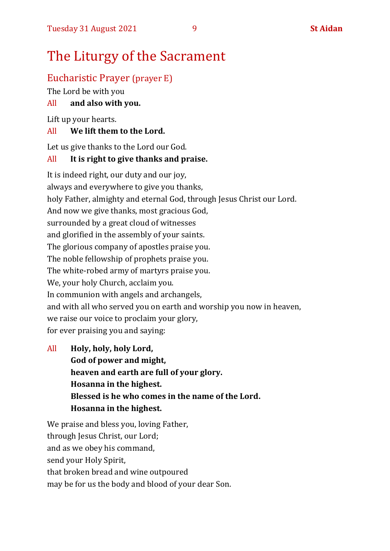# The Liturgy of the Sacrament

# Eucharistic Prayer (prayer E)

The Lord be with you

# All **and also with you.**

Lift up your hearts.

# All **We lift them to the Lord.**

Let us give thanks to the Lord our God.

# All **It is right to give thanks and praise.**

It is indeed right, our duty and our joy, always and everywhere to give you thanks, holy Father, almighty and eternal God, through Jesus Christ our Lord. And now we give thanks, most gracious God, surrounded by a great cloud of witnesses and glorified in the assembly of your saints. The glorious company of apostles praise you. The noble fellowship of prophets praise you. The white-robed army of martyrs praise you. We, your holy Church, acclaim you. In communion with angels and archangels, and with all who served you on earth and worship you now in heaven, we raise our voice to proclaim your glory, for ever praising you and saying:

All **Holy, holy, holy Lord, God of power and might, heaven and earth are full of your glory. Hosanna in the highest. Blessed is he who comes in the name of the Lord. Hosanna in the highest.**

We praise and bless you, loving Father, through Jesus Christ, our Lord; and as we obey his command, send your Holy Spirit, that broken bread and wine outpoured may be for us the body and blood of your dear Son.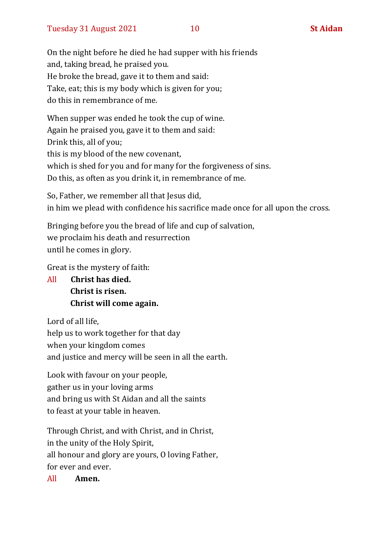On the night before he died he had supper with his friends and, taking bread, he praised you. He broke the bread, gave it to them and said: Take, eat; this is my body which is given for you; do this in remembrance of me.

When supper was ended he took the cup of wine. Again he praised you, gave it to them and said: Drink this, all of you; this is my blood of the new covenant, which is shed for you and for many for the forgiveness of sins. Do this, as often as you drink it, in remembrance of me.

So, Father, we remember all that Jesus did, in him we plead with confidence his sacrifice made once for all upon the cross.

Bringing before you the bread of life and cup of salvation, we proclaim his death and resurrection until he comes in glory.

Great is the mystery of faith:

All **Christ has died. Christ is risen. Christ will come again.**

Lord of all life, help us to work together for that day when your kingdom comes and justice and mercy will be seen in all the earth.

Look with favour on your people, gather us in your loving arms and bring us with St Aidan and all the saints to feast at your table in heaven.

Through Christ, and with Christ, and in Christ, in the unity of the Holy Spirit, all honour and glory are yours, O loving Father, for ever and ever.

All **Amen.**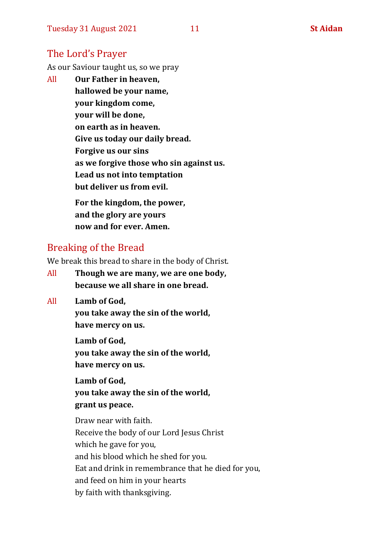# The Lord's Prayer

As our Saviour taught us, so we pray

All **Our Father in heaven, hallowed be your name, your kingdom come, your will be done, on earth as in heaven. Give us today our daily bread. Forgive us our sins as we forgive those who sin against us. Lead us not into temptation but deliver us from evil. For the kingdom, the power,** 

**and the glory are yours now and for ever. Amen.**

# Breaking of the Bread

We break this bread to share in the body of Christ.

- All **Though we are many, we are one body, because we all share in one bread.**
- All **Lamb of God,**

**you take away the sin of the world, have mercy on us.**

**Lamb of God, you take away the sin of the world, have mercy on us.**

**Lamb of God, you take away the sin of the world, grant us peace.**

Draw near with faith. Receive the body of our Lord Jesus Christ which he gave for you, and his blood which he shed for you. Eat and drink in remembrance that he died for you, and feed on him in your hearts by faith with thanksgiving.